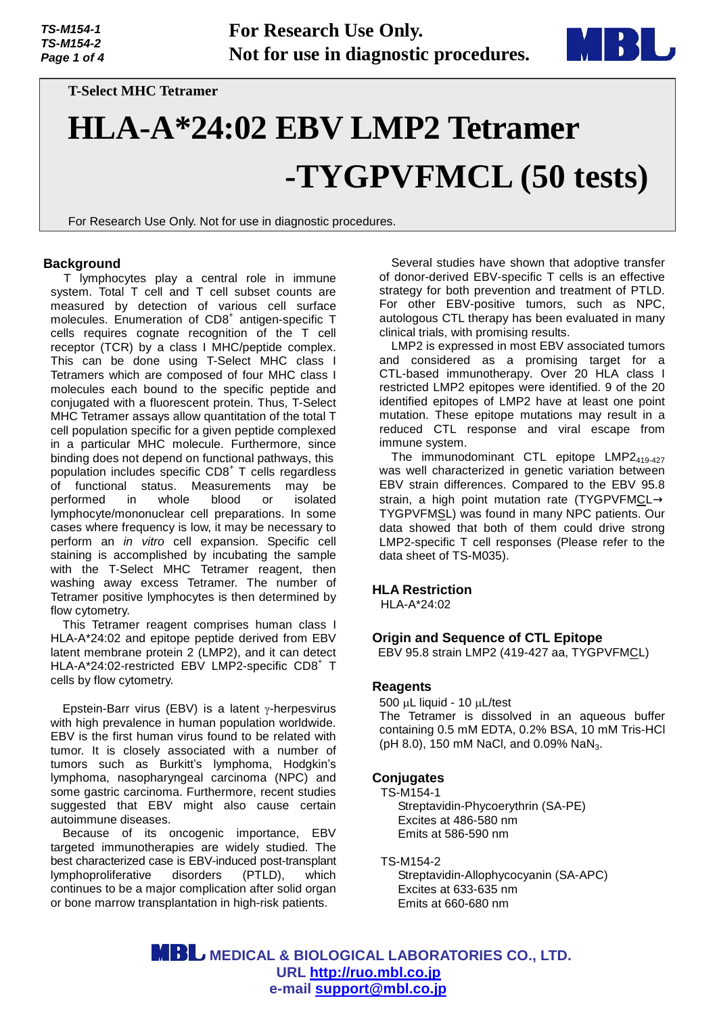**For Research Use Only. Not for use in diagnostic procedures.**



**T-Select MHC Tetramer** 

# **HLA-A\*24:02 EBV LMP2 Tetramer -TYGPVFMCL (50 tests)**

For Research Use Only. Not for use in diagnostic procedures.

## **Background**

T lymphocytes play a central role in immune system. Total T cell and T cell subset counts are measured by detection of various cell surface molecules. Enumeration of CD8<sup>+</sup> antigen-specific T cells requires cognate recognition of the T cell receptor (TCR) by a class I MHC/peptide complex. This can be done using T-Select MHC class I Tetramers which are composed of four MHC class I molecules each bound to the specific peptide and conjugated with a fluorescent protein. Thus, T-Select MHC Tetramer assays allow quantitation of the total T cell population specific for a given peptide complexed in a particular MHC molecule. Furthermore, since binding does not depend on functional pathways, this population includes specific CD8<sup>+</sup> T cells regardless of functional status. Measurements may be performed in whole blood or isolated lymphocyte/mononuclear cell preparations. In some cases where frequency is low, it may be necessary to perform an *in vitro* cell expansion. Specific cell staining is accomplished by incubating the sample with the T-Select MHC Tetramer reagent, then washing away excess Tetramer. The number of Tetramer positive lymphocytes is then determined by flow cytometry.

This Tetramer reagent comprises human class I HLA-A\*24:02 and epitope peptide derived from EBV latent membrane protein 2 (LMP2), and it can detect HLA-A\*24:02-restricted EBV LMP2-specific CD8+ T cells by flow cytometry.

Epstein-Barr virus (EBV) is a latent  $\gamma$ -herpesvirus with high prevalence in human population worldwide. EBV is the first human virus found to be related with tumor. It is closely associated with a number of tumors such as Burkitt's lymphoma, Hodgkin's lymphoma, nasopharyngeal carcinoma (NPC) and some gastric carcinoma. Furthermore, recent studies suggested that EBV might also cause certain autoimmune diseases.

Because of its oncogenic importance, EBV targeted immunotherapies are widely studied. The best characterized case is EBV-induced post-transplant lymphoproliferative disorders (PTLD), which continues to be a major complication after solid organ or bone marrow transplantation in high-risk patients.

Several studies have shown that adoptive transfer of donor-derived EBV-specific T cells is an effective strategy for both prevention and treatment of PTLD. For other EBV-positive tumors, such as NPC, autologous CTL therapy has been evaluated in many clinical trials, with promising results.

LMP2 is expressed in most EBV associated tumors and considered as a promising target for a CTL-based immunotherapy. Over 20 HLA class I restricted LMP2 epitopes were identified. 9 of the 20 identified epitopes of LMP2 have at least one point mutation. These epitope mutations may result in a reduced CTL response and viral escape from immune system.

The immunodominant CTL epitope  $LMP2_{419-427}$ was well characterized in genetic variation between EBV strain differences. Compared to the EBV 95.8 strain, a high point mutation rate (TYGPVFMCL TYGPVFMSL) was found in many NPC patients. Our data showed that both of them could drive strong LMP2-specific T cell responses (Please refer to the data sheet of TS-M035).

#### **HLA Restriction**

HLA-A\*24:02

#### **Origin and Sequence of CTL Epitope**

EBV 95.8 strain LMP2 (419-427 aa, TYGPVFMCL)

#### **Reagents**

 $500 \mu L$  liquid - 10  $\mu L$ /test The Tetramer is dissolved in an aqueous buffer containing 0.5 mM EDTA, 0.2% BSA, 10 mM Tris-HCl (pH 8.0), 150 mM NaCl, and 0.09% NaN<sub>3</sub>.

#### **Conjugates**

TS-M154-1 Streptavidin-Phycoerythrin (SA-PE) Excites at 486-580 nm Emits at 586-590 nm

TS-M154-2

Streptavidin-Allophycocyanin (SA-APC) Excites at 633-635 nm Emits at 660-680 nm

 **MEDICAL & BIOLOGICAL LABORATORIES CO., LTD. URL<http://ruo.mbl.co.jp> e-mail [support@mbl.co.jp](mailto:support@mbl.co.jp)**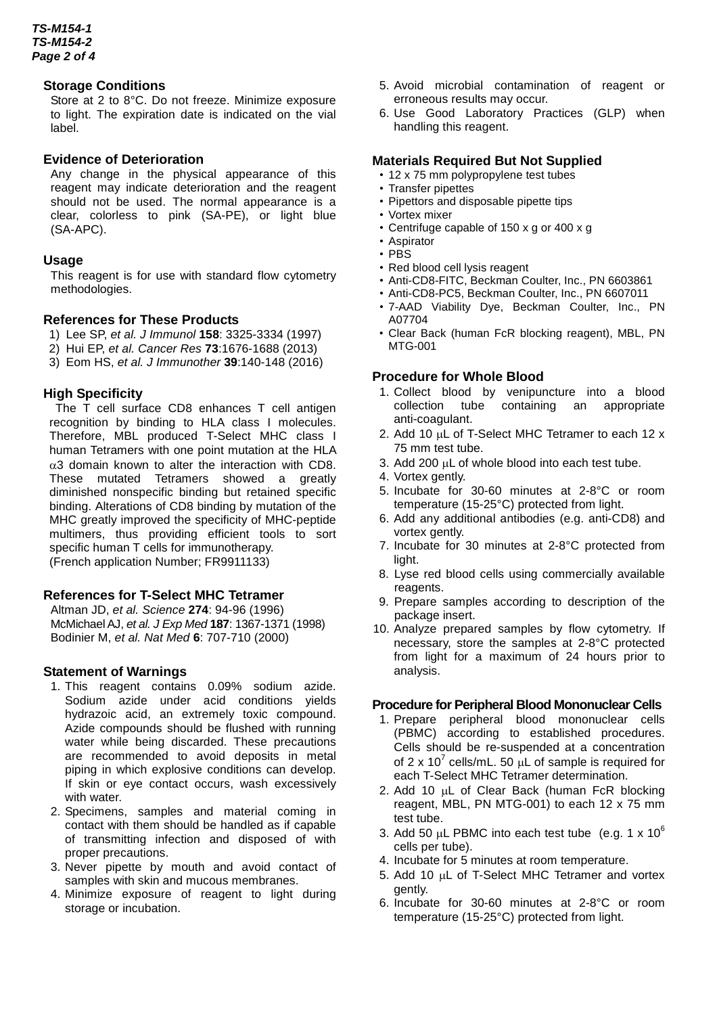## **Storage Conditions**

Store at 2 to 8°C. Do not freeze. Minimize exposure to light. The expiration date is indicated on the vial label.

#### **Evidence of Deterioration**

Any change in the physical appearance of this reagent may indicate deterioration and the reagent should not be used. The normal appearance is a clear, colorless to pink (SA-PE), or light blue (SA-APC).

#### **Usage**

This reagent is for use with standard flow cytometry methodologies.

# **References for These Products**

- 1) Lee SP, *et al. J Immunol* **158**: 3325-3334 (1997)
- 2) Hui EP, *et al. Cancer Res* **73**:1676-1688 (2013)
- 3) Eom HS, *et al. J Immunother* **39**:140-148 (2016)

## **High Specificity**

The T cell surface CD8 enhances T cell antigen recognition by binding to HLA class I molecules. Therefore, MBL produced T-Select MHC class I human Tetramers with one point mutation at the HLA  $\alpha$ 3 domain known to alter the interaction with CD8. These mutated Tetramers showed a greatly diminished nonspecific binding but retained specific binding. Alterations of CD8 binding by mutation of the MHC greatly improved the specificity of MHC-peptide multimers, thus providing efficient tools to sort specific human T cells for immunotherapy. (French application Number; FR9911133)

## **References for T-Select MHC Tetramer**

Altman JD, *et al. Science* **274**: 94-96 (1996) McMichael AJ, *et al. J Exp Med* **187**: 1367-1371 (1998) Bodinier M, *et al. Nat Med* **6**: 707-710 (2000)

## **Statement of Warnings**

- 1. This reagent contains 0.09% sodium azide. Sodium azide under acid conditions yields hydrazoic acid, an extremely toxic compound. Azide compounds should be flushed with running water while being discarded. These precautions are recommended to avoid deposits in metal piping in which explosive conditions can develop. If skin or eye contact occurs, wash excessively with water.
- 2. Specimens, samples and material coming in contact with them should be handled as if capable of transmitting infection and disposed of with proper precautions.
- 3. Never pipette by mouth and avoid contact of samples with skin and mucous membranes.
- 4. Minimize exposure of reagent to light during storage or incubation.
- 5. Avoid microbial contamination of reagent or erroneous results may occur.
- 6. Use Good Laboratory Practices (GLP) when handling this reagent.

#### **Materials Required But Not Supplied**

- 12 x 75 mm polypropylene test tubes
- Transfer pipettes
- Pipettors and disposable pipette tips
- Vortex mixer
- Centrifuge capable of 150 x g or 400 x g
- Aspirator
- PBS
- Red blood cell lysis reagent
- Anti-CD8-FITC, Beckman Coulter, Inc., PN 6603861
- Anti-CD8-PC5, Beckman Coulter, Inc., PN 6607011
- 7-AAD Viability Dye, Beckman Coulter, Inc., PN A07704
- Clear Back (human FcR blocking reagent), MBL, PN MTG-001

#### **Procedure for Whole Blood**

- 1. Collect blood by venipuncture into a blood collection tube containing an appropriate anti-coagulant.
- 2. Add 10  $\mu$ L of T-Select MHC Tetramer to each 12 x 75 mm test tube.
- 3. Add 200  $\mu$ L of whole blood into each test tube.
- 4. Vortex gently.
- 5. Incubate for 30-60 minutes at 2-8°C or room temperature (15-25°C) protected from light.
- 6. Add any additional antibodies (e.g. anti-CD8) and vortex gently.
- 7. Incubate for 30 minutes at 2-8°C protected from light.
- 8. Lyse red blood cells using commercially available reagents.
- 9. Prepare samples according to description of the package insert.
- 10. Analyze prepared samples by flow cytometry. If necessary, store the samples at 2-8°C protected from light for a maximum of 24 hours prior to analysis.

#### **Procedure for Peripheral Blood Mononuclear Cells**

- 1. Prepare peripheral blood mononuclear cells (PBMC) according to established procedures. Cells should be re-suspended at a concentration of 2 x 10<sup>7</sup> cells/mL. 50  $\mu$ L of sample is required for each T-Select MHC Tetramer determination.
- 2. Add 10 µL of Clear Back (human FcR blocking reagent, MBL, PN MTG-001) to each 12 x 75 mm test tube.
- 3. Add 50  $\mu$ L PBMC into each test tube (e.g. 1 x 10<sup>6</sup>) cells per tube).
- 4. Incubate for 5 minutes at room temperature.
- 5. Add 10 µL of T-Select MHC Tetramer and vortex gently.
- 6. Incubate for 30-60 minutes at 2-8°C or room temperature (15-25°C) protected from light.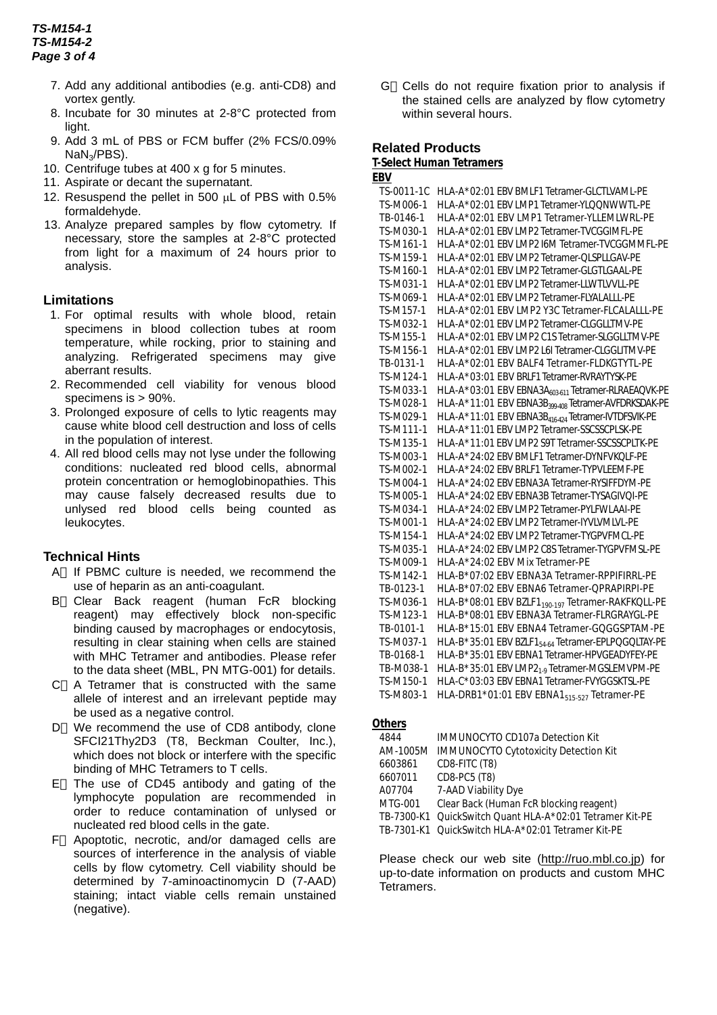# *TS-M154-1 TS-M154-2 Page 3 of 4*

- 7. Add any additional antibodies (e.g. anti-CD8) and vortex gently.
- 8. Incubate for 30 minutes at 2-8°C protected from light.
- 9. Add 3 mL of PBS or FCM buffer (2% FCS/0.09% NaN3/PBS).
- 10. Centrifuge tubes at 400 x g for 5 minutes.
- 11. Aspirate or decant the supernatant.
- 12. Resuspend the pellet in 500  $\mu$ L of PBS with 0.5% formaldehyde.
- 13. Analyze prepared samples by flow cytometry. If necessary, store the samples at 2-8°C protected from light for a maximum of 24 hours prior to analysis.

# **Limitations**

- 1. For optimal results with whole blood, retain specimens in blood collection tubes at room temperature, while rocking, prior to staining and analyzing. Refrigerated specimens may give aberrant results.
- 2. Recommended cell viability for venous blood specimens is > 90%.
- 3. Prolonged exposure of cells to lytic reagents may cause white blood cell destruction and loss of cells in the population of interest.
- 4. All red blood cells may not lyse under the following conditions: nucleated red blood cells, abnormal protein concentration or hemoglobinopathies. This may cause falsely decreased results due to unlysed red blood cells being counted as leukocytes.

# **Technical Hints**

- A If PBMC culture is needed, we recommend the use of heparin as an anti-coagulant.
- B Clear Back reagent (human FcR blocking reagent) may effectively block non-specific binding caused by macrophages or endocytosis, resulting in clear staining when cells are stained with MHC Tetramer and antibodies. Please refer to the data sheet (MBL, PN MTG-001) for details.
- C A Tetramer that is constructed with the same allele of interest and an irrelevant peptide may be used as a negative control.
- D We recommend the use of CD8 antibody, clone SFCI21Thy2D3 (T8, Beckman Coulter, Inc.), which does not block or interfere with the specific binding of MHC Tetramers to T cells.
- E The use of CD45 antibody and gating of the lymphocyte population are recommended in order to reduce contamination of unlysed or nucleated red blood cells in the gate.
- F Apoptotic, necrotic, and/or damaged cells are sources of interference in the analysis of viable cells by flow cytometry. Cell viability should be determined by 7-aminoactinomycin D (7-AAD) staining; intact viable cells remain unstained (negative).

G Cells do not require fixation prior to analysis if the stained cells are analyzed by flow cytometry within several hours.

# **Related Products**

**T-Select Human Tetramers**

| EBV        |                                                                  |
|------------|------------------------------------------------------------------|
| TS-0011-1C | HLA-A*02:01 EBV BMLF1 Tetramer-GLCTLVAML-PE                      |
| TS-M006-1  | HLA-A*02:01 EBV LMP1 Tetramer-YLQQNWWTL-PE                       |
| TB-0146-1  | HLA-A*02:01 EBV LMP1 Tetramer-YLLEMLWRL-PE                       |
| TS-M030-1  | HLA-A*02:01 EBV LMP2 Tetramer-TVCGGIMFL-PE                       |
| TS-M161-1  | HLA-A*02:01 EBV LMP2 I6M Tetramer-TVCGGMMFL-PE                   |
| TS-M159-1  | HLA-A*02:01 EBV LMP2 Tetramer-QLSPLLGAV-PE                       |
| TS-M160-1  | HLA-A*02:01 EBV LMP2 Tetramer-GLGTLGAAL-PE                       |
| TS-M031-1  | HLA-A*02:01 EBV LMP2 Tetramer-LLWTLVVLL-PE                       |
| TS-M069-1  | HLA-A*02:01 EBV LMP2 Tetramer-FLYALALLL-PE                       |
| TS-M157-1  | HLA-A*02:01 EBV LMP2 Y3C Tetramer-FLCALALLL-PE                   |
| TS-M032-1  | HLA-A*02:01 EBV LMP2 Tetramer-CLGGLLTMV-PE                       |
| TS-M155-1  | HLA-A*02:01 EBV LMP2 C1S Tetramer-SLGGLLTMV-PE                   |
| TS-M156-1  | HLA-A*02:01 EBV LMP2 L6I Tetramer-CLGGLITMV-PE                   |
| TB-0131-1  | HLA-A*02:01 EBV BALF4 Tetramer-FLDKGTYTL-PE                      |
| TS-M124-1  | HLA-A*03:01 EBV BRLF1 Tetramer-RVRAYTYSK-PE                      |
| TS-M033-1  | HLA-A*03:01 EBV EBNA3A603611 Tetramer-RLRAEAQVK-PE               |
| TS-M028-1  | HLA-A*11:01 EBV EBNA3B <sub>399-408</sub> Tetramer-AVFDRKSDAK-PE |
| TS-M029-1  | HLA-A*11:01 EBV EBNA3B <sub>416-424</sub> Tetramer-IVTDFSVIK-PE  |
| TS-M111-1  | HLA-A*11:01 EBV LMP2 Tetramer-SSCSSCPLSK-PE                      |
| TS-M135-1  | HLA-A*11:01 EBV LMP2 S9T Tetramer-SSCSSCPLTK-PE                  |
| TS-M003-1  | HLA-A*24:02 EBV BMLF1 Tetramer-DYNFVKQLF-PE                      |
| TS-M002-1  | HLA-A*24:02 EBV BRLF1 Tetramer-TYPVLEEMF-PE                      |
| TS-M004-1  | HLA-A*24:02 EBV EBNA3A Tetramer-RYSIFFDYM-PE                     |
| TS-M005-1  | HLA-A*24:02 EBV EBNA3B Tetramer-TYSAGIVQI-PE                     |
| TS-M034-1  | HLA-A*24:02 EBV LMP2 Tetramer-PYLFWLAAI-PE                       |
| TS-M001-1  | HLA-A*24:02 EBV LMP2 Tetramer-IYVLVMLVL-PE                       |
| TS-M154-1  | HLA-A*24:02 EBV LMP2 Tetramer-TYGPVFMCL-PE                       |
| TS-M035-1  | HLA-A*24:02 EBV LMP2 C8S Tetramer-TYGPVFMSL-PE                   |
| TS-M009-1  | HLA-A*24:02 EBV Mix Tetramer-PE                                  |
| TS-M142-1  | HLA-B*07:02 EBV EBNA3A Tetramer-RPPIFIRRL-PE                     |
| TB-0123-1  | HLA-B*07:02 EBV EBNA6 Tetramer-QPRAPIRPI-PE                      |
| TS-M036-1  | HLA-B*08:01 EBV BZLF1 <sub>190-197</sub> Tetramer-RAKFKQLL-PE    |
| TS-M123-1  | HLA-B*08:01 EBV EBNA3A Tetramer-FLRGRAYGL-PE                     |
| TB-0101-1  | HLA-B*15:01 EBV EBNA4 Tetramer-GQGGSPTAM-PE                      |
| TS-M037-1  | HLA-B*35:01 EBV BZLF1 <sub>54-64</sub> Tetramer-EPLPQGQLTAY-PE   |
| TB-0168-1  | HLA-B*35:01 EBV EBNA1 Tetramer-HPVGEADYFEY-PE                    |
| TB-M038-1  | HLA-B*35:01 EBV LMP2 <sub>1-9</sub> Tetramer-MGSLEMVPM-PE        |
| TS-M150-1  | HLA-C*03:03 EBV EBNA1 Tetramer-FVYGGSKTSL-PE                     |
| TS-M803-1  | HLA-DRB1*01:01 EBV EBNA1 <sub>515-527</sub> Tetramer-PE          |
|            |                                                                  |

#### **Others**

| 4844    | <b>IMMUNOCYTO CD107a Detection Kit</b>                   |
|---------|----------------------------------------------------------|
|         | AM-1005M IMMUNOCYTO Cytotoxicity Detection Kit           |
| 6603861 | CD8-FITC (T8)                                            |
| 6607011 | CD8-PC5 (T8)                                             |
| A07704  | 7-AAD Viability Dye                                      |
| MTG-001 | Clear Back (Human FcR blocking reagent)                  |
|         | TB-7300-K1 QuickSwitch Quant HLA-A*02:01 Tetramer Kit-PE |
|         | TB-7301-K1 QuickSwitch HLA-A*02:01 Tetramer Kit-PE       |
|         |                                                          |

Please check our web site [\(http://ruo.mbl.co.jp\)](http://ruo.mbl.co.jp) for up-to-date information on products and custom MHC Tetramers.